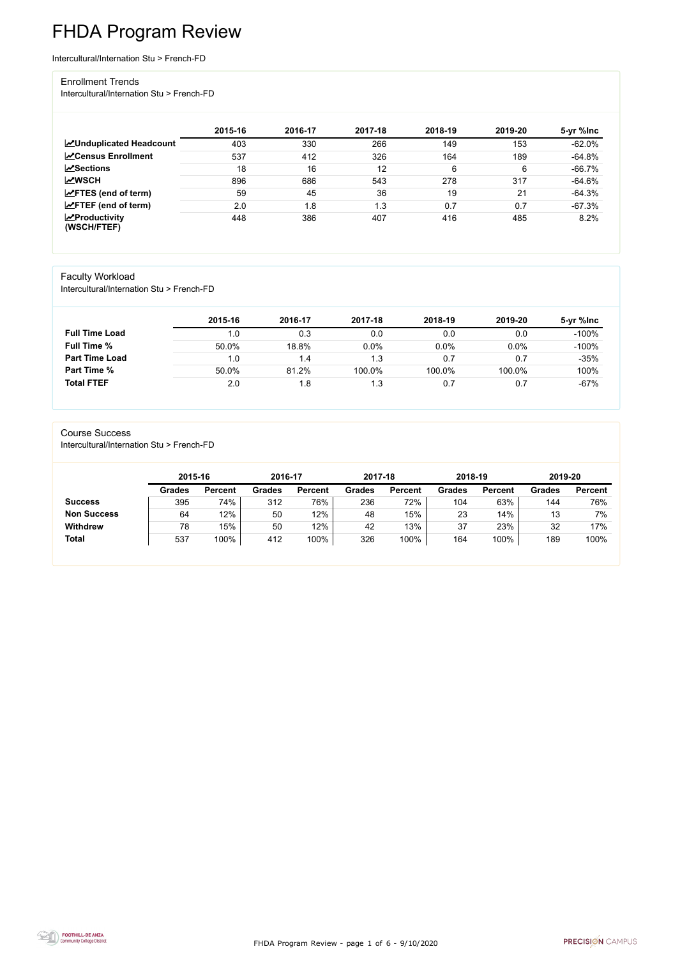FHDA Program Review - page 1 of 6 - 9/10/2020



# FHDA Program Review

Intercultural/Internation Stu > French-FD

#### Enrollment Trends

Intercultural/Internation Stu > French-FD

|                                                  | 2015-16 | 2016-17 | 2017-18 | 2018-19 | 2019-20 | 5-yr %lnc |
|--------------------------------------------------|---------|---------|---------|---------|---------|-----------|
| <b>ZUnduplicated Headcount</b>                   | 403     | 330     | 266     | 149     | 153     | $-62.0%$  |
| <b>∠</b> Census Enrollment                       | 537     | 412     | 326     | 164     | 189     | $-64.8%$  |
| <b>ZSections</b>                                 | 18      | 16      | 12      | 6       | 6       | $-66.7%$  |
| <b>MWSCH</b>                                     | 896     | 686     | 543     | 278     | 317     | $-64.6%$  |
| $\angle$ FTES (end of term)                      | 59      | 45      | 36      | 19      | 21      | $-64.3%$  |
| $\angle$ FTEF (end of term)                      | 2.0     | 1.8     | 1.3     | 0.7     | 0.7     | $-67.3%$  |
| $\sqrt{\frac{1}{2}}$ Productivity<br>(WSCH/FTEF) | 448     | 386     | 407     | 416     | 485     | 8.2%      |

### Faculty Workload

Intercultural/Internation Stu > French-FD

|                       | 2015-16 | 2016-17 | 2017-18 | 2018-19 | 2019-20 | 5-yr %lnc |
|-----------------------|---------|---------|---------|---------|---------|-----------|
| <b>Full Time Load</b> | 1.0     | 0.3     | 0.0     | 0.0     | 0.0     | $-100%$   |
| <b>Full Time %</b>    | 50.0%   | 18.8%   | 0.0%    | 0.0%    | 0.0%    | $-100%$   |
| <b>Part Time Load</b> | 1.0     | 1.4     | 1.3     | 0.7     | 0.7     | $-35%$    |
| <b>Part Time %</b>    | 50.0%   | 81.2%   | 100.0%  | 100.0%  | 100.0%  | 100%      |
| <b>Total FTEF</b>     | 2.0     | 1.8     | 1.3     | 0.7     | 0.7     | $-67%$    |

#### Course Success

Intercultural/Internation Stu > French-FD

| 2015-16       |                | 2016-17       |                | 2017-18       |                | 2018-19       |                | 2019-20       |                |
|---------------|----------------|---------------|----------------|---------------|----------------|---------------|----------------|---------------|----------------|
| <b>Grades</b> | <b>Percent</b> | <b>Grades</b> | <b>Percent</b> | <b>Grades</b> | <b>Percent</b> | <b>Grades</b> | <b>Percent</b> | <b>Grades</b> | <b>Percent</b> |
| 395           | 74%            | 312           | 76%            | 236           | 72%            | 104           | 63%            | 144           | 76%            |
| 64            | 12%            | 50            | 12%            | 48            | 15%            | 23            | 14%            | 13            | 7%             |
| 78            | 15%            | 50            | 12%            | 42            | 13%            | 37            | 23%            | 32            | 17%            |
| 537           | 100%           | 412           | 100%           | 326           | 100%           | 164           | 100%           | 189           | 100%           |
|               |                |               |                |               |                |               |                |               |                |

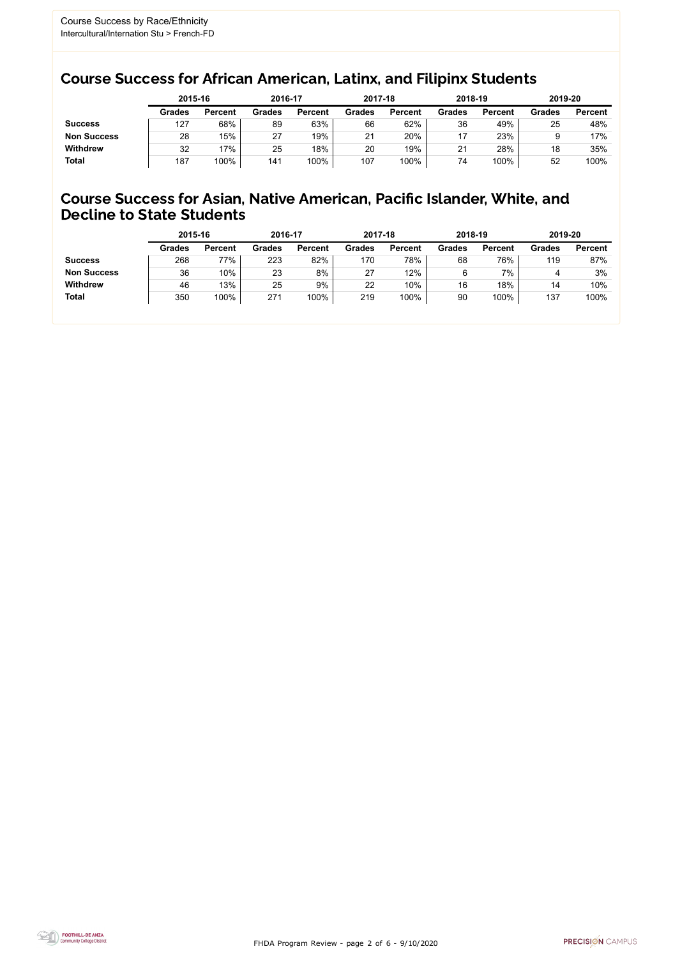FHDA Program Review - page 2 of 6 - 9/10/2020



### Course Success for African American, Latinx, and Filipinx Students

### Course Success for Asian, Native American, Pacific Islander, White, and Decline to State Students

|                    |               | 2015-16        |               | 2016-17        |               | 2017-18        |               | 2018-19        | 2019-20       |                |
|--------------------|---------------|----------------|---------------|----------------|---------------|----------------|---------------|----------------|---------------|----------------|
|                    | <b>Grades</b> | <b>Percent</b> | <b>Grades</b> | <b>Percent</b> | <b>Grades</b> | <b>Percent</b> | <b>Grades</b> | <b>Percent</b> | <b>Grades</b> | <b>Percent</b> |
| <b>Success</b>     | 127           | 68%            | 89            | 63%            | 66            | 62%            | 36            | 49%            | 25            | 48%            |
| <b>Non Success</b> | 28            | 15%            | 27            | 19%            | 21            | 20%            | 17            | 23%            |               | 17%            |
| <b>Withdrew</b>    | 32            | 17%            | 25            | 18%            | 20            | 19%            | 21            | 28%            | 18            | 35%            |
| <b>Total</b>       | 187           | 100%           | 141           | 100%           | 107           | 100%           | 74            | 100%           | 52            | 100%           |

|                    | 2015-16       |                | 2016-17       |                | 2017-18       |                | 2018-19       |                | 2019-20       |                |
|--------------------|---------------|----------------|---------------|----------------|---------------|----------------|---------------|----------------|---------------|----------------|
|                    | <b>Grades</b> | <b>Percent</b> | <b>Grades</b> | <b>Percent</b> | <b>Grades</b> | <b>Percent</b> | <b>Grades</b> | <b>Percent</b> | <b>Grades</b> | <b>Percent</b> |
| <b>Success</b>     | 268           | 77%            | 223           | 82%            | 170           | 78%            | 68            | 76%            | 119           | 87%            |
| <b>Non Success</b> | 36            | 10%            | 23            | 8%             | 27            | 12%            | 6             | 7%             | 4             | 3%             |
| <b>Withdrew</b>    | 46            | 13%            | 25            | 9%             | 22            | 10%            | 16            | 18%            | 14            | 10%            |
| <b>Total</b>       | 350           | 100%           | 271           | 100%           | 219           | 100%           | 90            | 100%           | 137           | 100%           |
|                    |               |                |               |                |               |                |               |                |               |                |

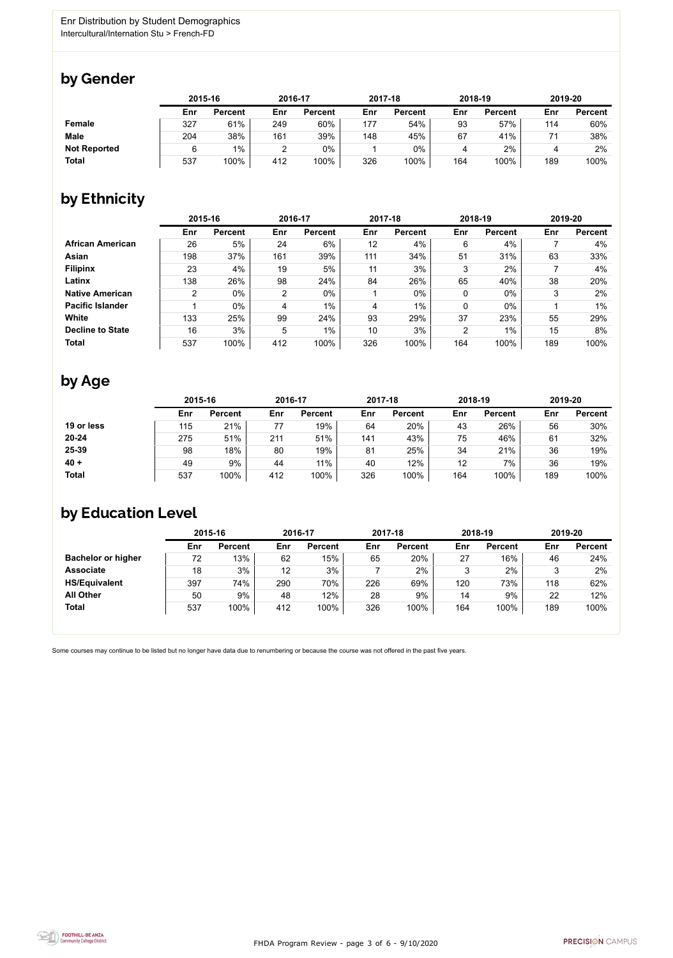

Some courses may continue to be listed but no longer have data due to renumbering or because the course was not offered in the past five years.



### by Gender

|                     |     | 2015-16        |     | 2016-17        |     | 2017-18        |     | 2018-19        |     | 2019-20        |  |
|---------------------|-----|----------------|-----|----------------|-----|----------------|-----|----------------|-----|----------------|--|
|                     | Enr | <b>Percent</b> | Enr | <b>Percent</b> | Enr | <b>Percent</b> | Enr | <b>Percent</b> | Enr | <b>Percent</b> |  |
| <b>Female</b>       | 327 | 61%            | 249 | 60%            | 177 | 54%            | 93  | 57%            | 114 | 60%            |  |
| <b>Male</b>         | 204 | 38%            | 161 | 39%            | 148 | 45%            | 67  | 41%            | 74  | 38%            |  |
| <b>Not Reported</b> |     | $1\%$          | ⌒   | 0%             |     | $0\%$          |     | 2%             |     | 2%             |  |
| <b>Total</b>        | 537 | 100%           | 412 | 100%           | 326 | 100%           | 164 | 100%           | 189 | 100%           |  |

### by Ethnicity

|                         | 2015-16        |                |                | 2016-17        |     | 2017-18        |                | 2018-19        | 2019-20 |                |
|-------------------------|----------------|----------------|----------------|----------------|-----|----------------|----------------|----------------|---------|----------------|
|                         | Enr            | <b>Percent</b> | Enr            | <b>Percent</b> | Enr | <b>Percent</b> | Enr            | <b>Percent</b> | Enr     | <b>Percent</b> |
| <b>African American</b> | 26             | 5%             | 24             | 6%             | 12  | 4%             | 6              | 4%             |         | 4%             |
| Asian                   | 198            | 37%            | 161            | 39%            | 111 | 34%            | 51             | 31%            | 63      | 33%            |
| <b>Filipinx</b>         | 23             | 4%             | 19             | 5%             | 11  | 3%             | 3              | 2%             |         | 4%             |
| Latinx                  | 138            | 26%            | 98             | 24%            | 84  | 26%            | 65             | 40%            | 38      | 20%            |
| <b>Native American</b>  | $\overline{2}$ | $0\%$          | $\overline{2}$ | $0\%$          |     | $0\%$          | 0              | $0\%$          | 3       | 2%             |
| <b>Pacific Islander</b> |                | $0\%$          | 4              | $1\%$          | 4   | $1\%$          | 0              | $0\%$          |         | $1\%$          |
| White                   | 133            | 25%            | 99             | 24%            | 93  | 29%            | 37             | 23%            | 55      | 29%            |
| <b>Decline to State</b> | 16             | 3%             | 5              | $1\%$          | 10  | 3%             | $\overline{2}$ | $1\%$          | 15      | 8%             |
| <b>Total</b>            | 537            | 100%           | 412            | 100%           | 326 | 100%           | 164            | 100%           | 189     | 100%           |

### by Age

|              | 2015-16 |                |     | 2016-17        |     | 2017-18        | 2018-19 |                | 2019-20 |                |
|--------------|---------|----------------|-----|----------------|-----|----------------|---------|----------------|---------|----------------|
|              | Enr     | <b>Percent</b> | Enr | <b>Percent</b> | Enr | <b>Percent</b> | Enr     | <b>Percent</b> | Enr     | <b>Percent</b> |
| 19 or less   | 115     | 21%            | 77  | 19%            | 64  | 20%            | 43      | 26%            | 56      | 30%            |
| $20 - 24$    | 275     | 51%            | 211 | 51%            | 141 | 43%            | 75      | 46%            | 61      | 32%            |
| 25-39        | 98      | 18%            | 80  | 19%            | 81  | 25%            | 34      | 21%            | 36      | 19%            |
| $40 +$       | 49      | 9%             | 44  | 11%            | 40  | 12%            | 12      | 7%             | 36      | 19%            |
| <b>Total</b> | 537     | 100%           | 412 | 100%           | 326 | 100%           | 164     | 100%           | 189     | 100%           |

## by Education Level

|                           | 2015-16 |                |     | 2016-17        |     | 2017-18        | 2018-19 |                | 2019-20 |                |
|---------------------------|---------|----------------|-----|----------------|-----|----------------|---------|----------------|---------|----------------|
|                           | Enr     | <b>Percent</b> | Enr | <b>Percent</b> | Enr | <b>Percent</b> | Enr     | <b>Percent</b> | Enr     | <b>Percent</b> |
| <b>Bachelor or higher</b> | 72      | 13%            | 62  | 15%            | 65  | 20%            | 27      | 16%            | 46      | 24%            |
| <b>Associate</b>          | 18      | 3%             | 12  | 3%             |     | 2%             |         | 2%             |         | 2%             |
| <b>HS/Equivalent</b>      | 397     | 74%            | 290 | 70%            | 226 | 69%            | 120     | 73%            | 118     | 62%            |
| <b>All Other</b>          | 50      | 9%             | 48  | 12%            | 28  | 9%             | 14      | 9%             | 22      | 12%            |
| <b>Total</b>              | 537     | 100%           | 412 | 100%           | 326 | 100%           | 164     | 100%           | 189     | 100%           |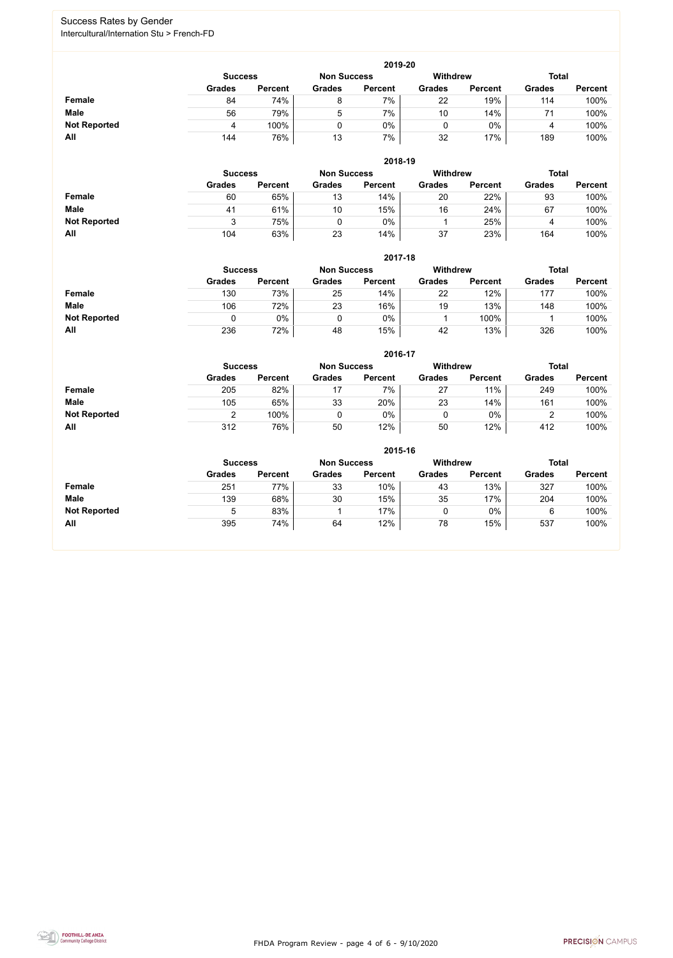FHDA Program Review - page 4 of 6 - 9/10/2020



#### Success Rates by Gender Intercultural/Internation Stu > French-FD

|                     | 2019-20       |                                      |               |                |               |                |               |                |  |  |  |  |  |
|---------------------|---------------|--------------------------------------|---------------|----------------|---------------|----------------|---------------|----------------|--|--|--|--|--|
|                     |               | <b>Non Success</b><br><b>Success</b> |               |                |               |                | <b>Total</b>  |                |  |  |  |  |  |
|                     | <b>Grades</b> | <b>Percent</b>                       | <b>Grades</b> | <b>Percent</b> | <b>Grades</b> | <b>Percent</b> | <b>Grades</b> | <b>Percent</b> |  |  |  |  |  |
| Female              | 84            | 74%                                  | 8             | 7%             | 22            | 19%            | 114           | 100%           |  |  |  |  |  |
| <b>Male</b>         | 56            | 79%                                  | 5             | 7%             | 10            | 14%            | 71            | 100%           |  |  |  |  |  |
| <b>Not Reported</b> | 4             | 100%                                 |               | $0\%$          |               | $0\%$          | 4             | 100%           |  |  |  |  |  |
| All                 | 144           | 76%                                  | 13            | 7%             | 32            | 17%            | 189           | 100%           |  |  |  |  |  |

|                     |                | 2018-19        |                    |                |                 |                |               |                |  |  |  |  |  |  |
|---------------------|----------------|----------------|--------------------|----------------|-----------------|----------------|---------------|----------------|--|--|--|--|--|--|
|                     | <b>Success</b> |                | <b>Non Success</b> |                | <b>Withdrew</b> |                | <b>Total</b>  |                |  |  |  |  |  |  |
|                     | <b>Grades</b>  | <b>Percent</b> | <b>Grades</b>      | <b>Percent</b> | <b>Grades</b>   | <b>Percent</b> | <b>Grades</b> | <b>Percent</b> |  |  |  |  |  |  |
| <b>Female</b>       | 60             | 65%            | 13                 | 14%            | 20              | 22%            | 93            | 100%           |  |  |  |  |  |  |
| <b>Male</b>         | 41             | 61%            | 10                 | 15%            | 16              | 24%            | 67            | 100%           |  |  |  |  |  |  |
| <b>Not Reported</b> | 3              | 75%            |                    | 0%             |                 | 25%            |               | 100%           |  |  |  |  |  |  |
| All                 | 104            | 63%            | 23                 | 14%            | 37              | 23%            | 164           | 100%           |  |  |  |  |  |  |

|                     |               | 2017-18                              |               |                |               |                 |               |                |  |  |  |  |  |  |
|---------------------|---------------|--------------------------------------|---------------|----------------|---------------|-----------------|---------------|----------------|--|--|--|--|--|--|
|                     |               | <b>Non Success</b><br><b>Success</b> |               |                |               | <b>Withdrew</b> | <b>Total</b>  |                |  |  |  |  |  |  |
|                     | <b>Grades</b> | <b>Percent</b>                       | <b>Grades</b> | <b>Percent</b> | <b>Grades</b> | <b>Percent</b>  | <b>Grades</b> | <b>Percent</b> |  |  |  |  |  |  |
| Female              | 130           | 73%                                  | 25            | 14%            | 22            | 12%             | 177           | 100%           |  |  |  |  |  |  |
| <b>Male</b>         | 106           | 72%                                  | 23            | 16%            | 19            | 13%             | 148           | 100%           |  |  |  |  |  |  |
| <b>Not Reported</b> | 0             | $0\%$                                |               | $0\%$          |               | 100%            |               | 100%           |  |  |  |  |  |  |
| All                 | 236           | 72%                                  | 48            | 15%            | 42            | 13%             | 326           | 100%           |  |  |  |  |  |  |

|                     |               | 2016-17        |               |                |                 |                |               |                |  |  |
|---------------------|---------------|----------------|---------------|----------------|-----------------|----------------|---------------|----------------|--|--|
|                     |               | <b>Success</b> |               |                | <b>Withdrew</b> |                | <b>Total</b>  |                |  |  |
|                     | <b>Grades</b> | <b>Percent</b> | <b>Grades</b> | <b>Percent</b> | <b>Grades</b>   | <b>Percent</b> | <b>Grades</b> | <b>Percent</b> |  |  |
| Female              | 205           | 82%            |               | $7\%$          | 27              | 11%            | 249           | 100%           |  |  |
| <b>Male</b>         | 105           | 65%            | 33            | 20%            | 23              | 14%            | 161           | 100%           |  |  |
| <b>Not Reported</b> |               | 100%           |               | 0%             |                 | $0\%$          |               | 100%           |  |  |
| All                 | 312           | 76%            | 50            | 12%            | 50              | 12%            | 412           | 100%           |  |  |

|                     | 2015-16        |                    |               |                 |               |                |               |                |  |
|---------------------|----------------|--------------------|---------------|-----------------|---------------|----------------|---------------|----------------|--|
|                     | <b>Success</b> | <b>Non Success</b> |               | <b>Withdrew</b> |               | <b>Total</b>   |               |                |  |
|                     | <b>Grades</b>  | <b>Percent</b>     | <b>Grades</b> | <b>Percent</b>  | <b>Grades</b> | <b>Percent</b> | <b>Grades</b> | <b>Percent</b> |  |
| <b>Female</b>       | 251            | 77%                | 33            | 10%             | 43            | 13%            | 327           | 100%           |  |
| <b>Male</b>         | 139            | 68%                | 30            | 15%             | 35            | 17%            | 204           | 100%           |  |
| <b>Not Reported</b> | 5              | 83%                |               | 17%             |               | $0\%$          | 6             | 100%           |  |
| All                 | 395            | 74%                | 64            | 12%             | 78            | 15%            | 537           | 100%           |  |

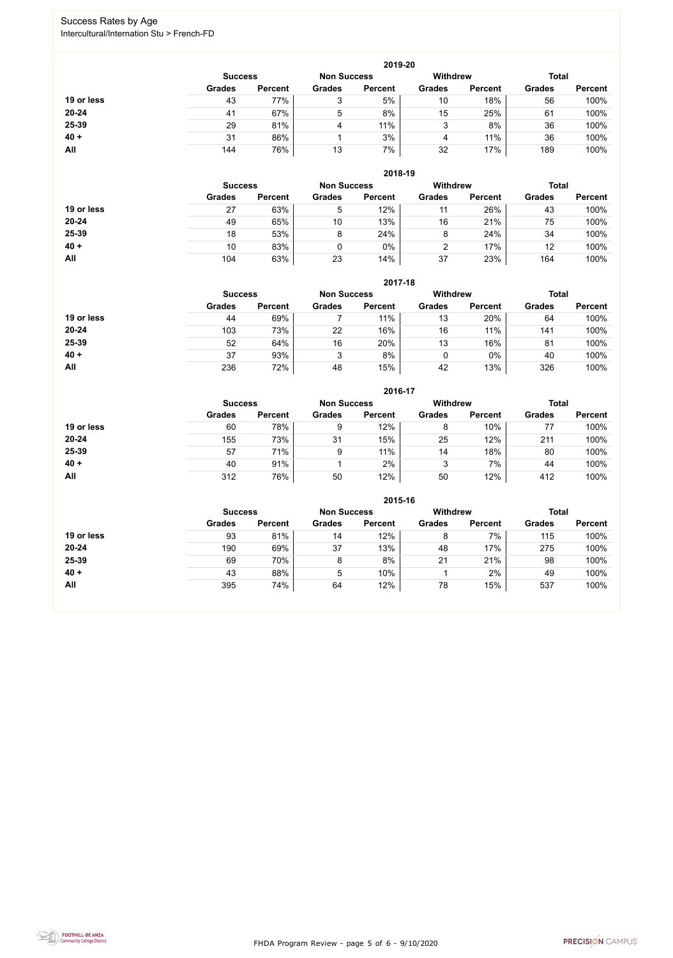FHDA Program Review - page 5 of 6 - 9/10/2020



### Success Rates by Age Intercultural/Internation Stu > French-FD

|            |                |                |                    | 2019-20        |                 |                |               |                |
|------------|----------------|----------------|--------------------|----------------|-----------------|----------------|---------------|----------------|
|            | <b>Success</b> |                | <b>Non Success</b> |                | <b>Withdrew</b> |                | <b>Total</b>  |                |
|            | <b>Grades</b>  | <b>Percent</b> | <b>Grades</b>      | <b>Percent</b> | <b>Grades</b>   | <b>Percent</b> | <b>Grades</b> | <b>Percent</b> |
| 19 or less | 43             | 77%            | 3                  | 5%             | 10              | 18%            | 56            | 100%           |
| $20 - 24$  | 41             | 67%            | 5                  | 8%             | 15              | 25%            | 61            | 100%           |
| 25-39      | 29             | 81%            | 4                  | 11%            | 3               | 8%             | 36            | 100%           |
| $40 +$     | 31             | 86%            |                    | 3%             | 4               | 11%            | 36            | 100%           |
| All        | 144            | 76%            | 13                 | 7%             | 32              | 17%            | 189           | 100%           |

|            |                |                |                 | 2018-19            |                 |                |               |                |
|------------|----------------|----------------|-----------------|--------------------|-----------------|----------------|---------------|----------------|
|            | <b>Success</b> |                |                 | <b>Non Success</b> | <b>Withdrew</b> |                | <b>Total</b>  |                |
|            | <b>Grades</b>  | <b>Percent</b> | <b>Grades</b>   | <b>Percent</b>     | <b>Grades</b>   | <b>Percent</b> | <b>Grades</b> | <b>Percent</b> |
| 19 or less | 27             | 63%            | 5               | 12%                | 11              | 26%            | 43            | 100%           |
| $20 - 24$  | 49             | 65%            | 10 <sup>°</sup> | 13%                | 16              | 21%            | 75            | 100%           |
| 25-39      | 18             | 53%            | 8               | 24%                | 8               | 24%            | 34            | 100%           |
| $40 +$     | 10             | 83%            |                 | 0%                 | 2               | 17%            | 12            | 100%           |
| All        | 104            | 63%            | 23              | 14%                | 37              | 23%            | 164           | 100%           |

|            |                |                |               | 2017-18            |                 |                |               |                |
|------------|----------------|----------------|---------------|--------------------|-----------------|----------------|---------------|----------------|
|            | <b>Success</b> |                |               | <b>Non Success</b> | <b>Withdrew</b> |                | <b>Total</b>  |                |
|            | <b>Grades</b>  | <b>Percent</b> | <b>Grades</b> | <b>Percent</b>     | <b>Grades</b>   | <b>Percent</b> | <b>Grades</b> | <b>Percent</b> |
| 19 or less | 44             | 69%            |               | 11%                | 13              | 20%            | 64            | 100%           |
| $20 - 24$  | 103            | 73%            | 22            | 16%                | 16              | 11%            | 141           | 100%           |
| 25-39      | 52             | 64%            | 16            | 20%                | 13              | 16%            | 81            | 100%           |
| $40 +$     | 37             | 93%            | 3             | 8%                 | 0               | 0%             | 40            | 100%           |
| All        | 236            | 72%            | 48            | 15%                | 42              | 13%            | 326           | 100%           |

|            |                |                    |               | 2016-17         |               |                |               |                |
|------------|----------------|--------------------|---------------|-----------------|---------------|----------------|---------------|----------------|
|            | <b>Success</b> | <b>Non Success</b> |               | <b>Withdrew</b> |               | <b>Total</b>   |               |                |
|            | <b>Grades</b>  | <b>Percent</b>     | <b>Grades</b> | <b>Percent</b>  | <b>Grades</b> | <b>Percent</b> | <b>Grades</b> | <b>Percent</b> |
| 19 or less | 60             | 78%                | 9             | 12%             | 8             | 10%            | 77            | 100%           |
| $20 - 24$  | 155            | 73%                | 31            | 15%             | 25            | 12%            | 211           | 100%           |
| 25-39      | 57             | 71%                | 9             | 11%             | 14            | 18%            | 80            | 100%           |
| $40 +$     | 40             | 91%                |               | 2%              | 3             | 7%             | 44            | 100%           |
| All        | 312            | 76%                | 50            | 12%             | 50            | 12%            | 412           | 100%           |

|            |                                      |                |               | 2015-16        |                 |                |               |                |
|------------|--------------------------------------|----------------|---------------|----------------|-----------------|----------------|---------------|----------------|
|            | <b>Non Success</b><br><b>Success</b> |                |               |                | <b>Withdrew</b> |                | <b>Total</b>  |                |
|            | <b>Grades</b>                        | <b>Percent</b> | <b>Grades</b> | <b>Percent</b> | <b>Grades</b>   | <b>Percent</b> | <b>Grades</b> | <b>Percent</b> |
| 19 or less | 93                                   | 81%            | 14            | 12%            | 8               | 7%             | 115           | 100%           |
| $20 - 24$  | 190                                  | 69%            | 37            | 13%            | 48              | 17%            | 275           | 100%           |
| 25-39      | 69                                   | 70%            | 8             | 8%             | 21              | 21%            | 98            | 100%           |
| $40 +$     | 43                                   | 88%            | 5             | 10%            |                 | 2%             | 49            | 100%           |
| All        | 395                                  | 74%            | 64            | 12%            | 78              | 15%            | 537           | 100%           |